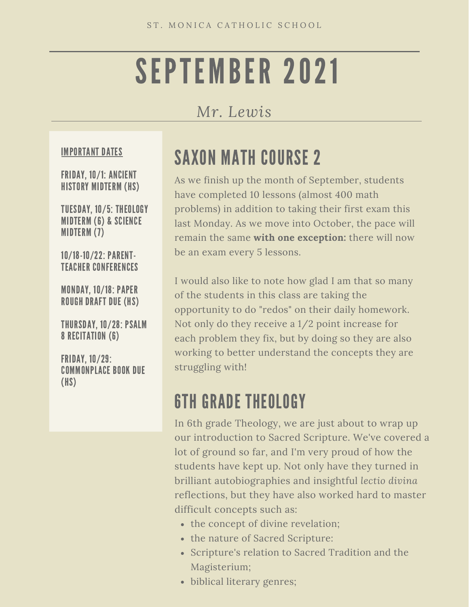# SEPTEMBER 2021

#### *Mr. Lewis*

#### IMPORTANT DATES

FRIDAY, 10/1: ANCIENT HISTORY MIDTERM (HS)

TUESDAY, 10/5: THEOLOGY MIDTERM (6) & SCIENCE MIDTERM (7)

10/18-10/22: PARENT-TEACHER CONFERENCES

MONDAY, 10/18: PAPER ROUGH DRAFT DUE (HS)

THURSDAY, 10/28: PSALM 8 RECITATION (6)

FRIDAY, 10/29: COMMONPLACE BOOK DUE (HS)

#### SAXON MATH COURSE 2

As we finish up the month of September, students have completed 10 lessons (almost 400 math problems) in addition to taking their first exam this last Monday. As we move into October, the pace will remain the same **with one exception:** there will now be an exam every 5 lessons.

I would also like to note how glad I am that so many of the students in this class are taking the opportunity to do "redos" on their daily homework. Not only do they receive a 1/2 point increase for each problem they fix, but by doing so they are also working to better understand the concepts they are struggling with!

#### 6TH GRADE THEOLOGY

In 6th grade Theology, we are just about to wrap up our introduction to Sacred Scripture. We've covered a lot of ground so far, and I'm very proud of how the students have kept up. Not only have they turned in brilliant autobiographies and insightful *lectio divina* reflections, but they have also worked hard to master difficult concepts such as:

- the concept of divine revelation;
- the nature of Sacred Scripture:
- Scripture's relation to Sacred Tradition and the Magisterium;
- biblical literary genres;